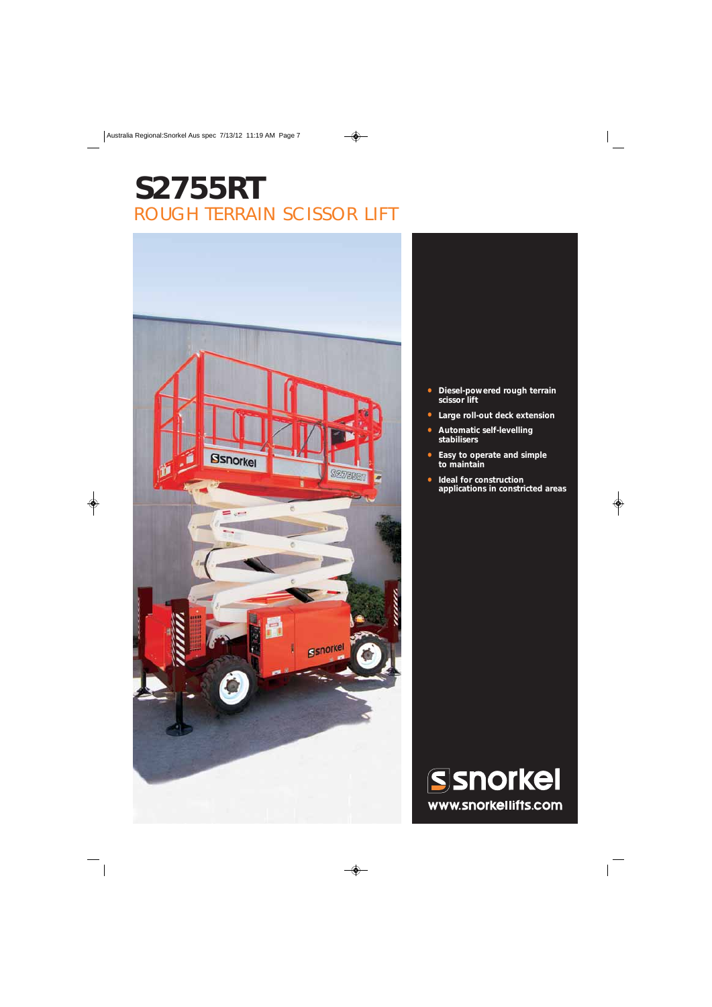## **S2755RT** ROUGH TERRAIN SCISSOR LIFT



- **Diesel-powered rough terrain scissor lift**
- **Large roll-out deck extension**
- **Automatic self-levelling stabilisers**
- **Easy to operate and simple to maintain**
- **Ideal for construction applications in constricted areas**